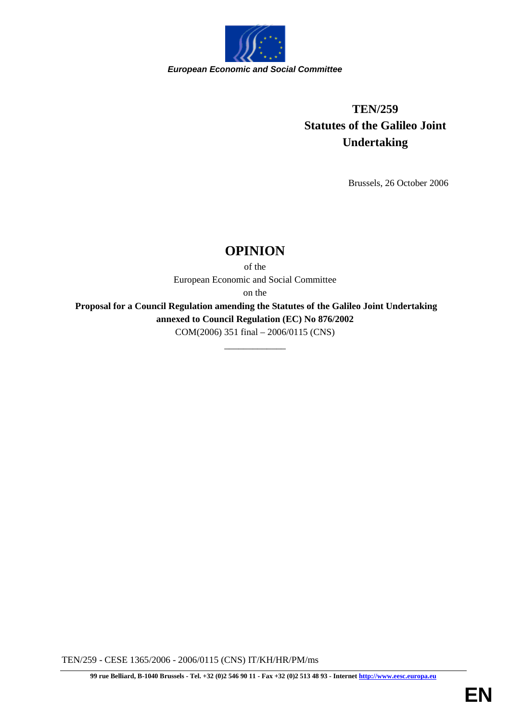

## **TEN/259 Statutes of the Galileo Joint Undertaking**

Brussels, 26 October 2006

## **OPINION**

of the European Economic and Social Committee

on the

 **Proposal for a Council Regulation amending the Statutes of the Galileo Joint Undertaking annexed to Council Regulation (EC) No 876/2002** COM(2006) 351 final – 2006/0115 (CNS)

\_\_\_\_\_\_\_\_\_\_\_\_\_

TEN/259 - CESE 1365/2006 - 2006/0115 (CNS) IT/KH/HR/PM/ms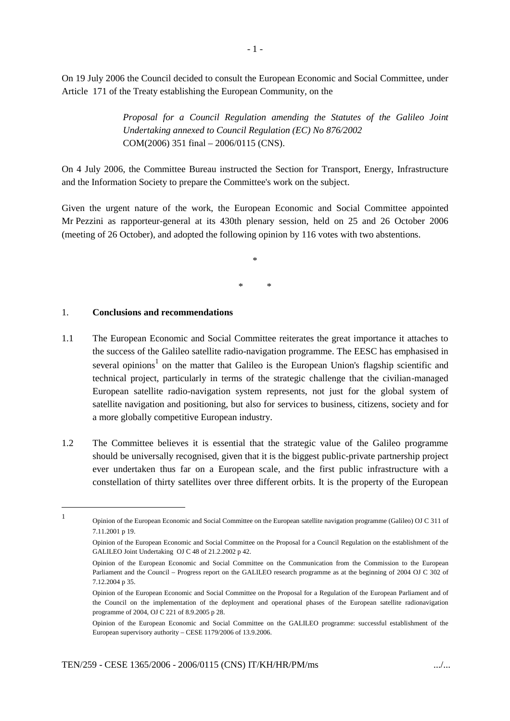On 19 July 2006 the Council decided to consult the European Economic and Social Committee, under Article 171 of the Treaty establishing the European Community, on the

> *Proposal for a Council Regulation amending the Statutes of the Galileo Joint Undertaking annexed to Council Regulation (EC) No 876/2002* COM(2006) 351 final – 2006/0115 (CNS).

On 4 July 2006, the Committee Bureau instructed the Section for Transport, Energy, Infrastructure and the Information Society to prepare the Committee's work on the subject.

Given the urgent nature of the work, the European Economic and Social Committee appointed Mr Pezzini as rapporteur-general at its 430th plenary session, held on 25 and 26 October 2006 (meeting of 26 October), and adopted the following opinion by 116 votes with two abstentions.

> \* \* \*

## 1. **Conclusions and recommendations**

1

- 1.1 The European Economic and Social Committee reiterates the great importance it attaches to the success of the Galileo satellite radio-navigation programme. The EESC has emphasised in several opinions<sup>1</sup> on the matter that Galileo is the European Union's flagship scientific and technical project, particularly in terms of the strategic challenge that the civilian-managed European satellite radio-navigation system represents, not just for the global system of satellite navigation and positioning, but also for services to business, citizens, society and for a more globally competitive European industry.
- 1.2 The Committee believes it is essential that the strategic value of the Galileo programme should be universally recognised, given that it is the biggest public-private partnership project ever undertaken thus far on a European scale, and the first public infrastructure with a constellation of thirty satellites over three different orbits. It is the property of the European

Opinion of the European Economic and Social Committee on the European satellite navigation programme (Galileo) OJ C 311 of 7.11.2001 p 19.

Opinion of the European Economic and Social Committee on the Proposal for a Council Regulation on the establishment of the GALILEO Joint Undertaking OJ C 48 of 21.2.2002 p 42.

Opinion of the European Economic and Social Committee on the Communication from the Commission to the European Parliament and the Council – Progress report on the GALILEO research programme as at the beginning of 2004 OJ C 302 of 7.12.2004 p 35.

Opinion of the European Economic and Social Committee on the Proposal for a Regulation of the European Parliament and of the Council on the implementation of the deployment and operational phases of the European satellite radionavigation programme of 2004, OJ C 221 of 8.9.2005 p 28.

Opinion of the European Economic and Social Committee on the GALILEO programme: successful establishment of the European supervisory authority – CESE 1179/2006 of 13.9.2006.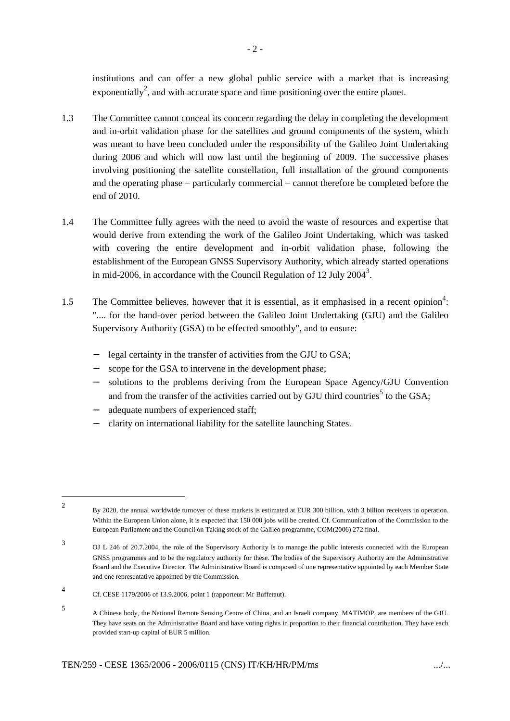institutions and can offer a new global public service with a market that is increasing exponentially<sup>2</sup>, and with accurate space and time positioning over the entire planet.

- 1.3 The Committee cannot conceal its concern regarding the delay in completing the development and in-orbit validation phase for the satellites and ground components of the system, which was meant to have been concluded under the responsibility of the Galileo Joint Undertaking during 2006 and which will now last until the beginning of 2009. The successive phases involving positioning the satellite constellation, full installation of the ground components and the operating phase – particularly commercial – cannot therefore be completed before the end of 2010.
- 1.4 The Committee fully agrees with the need to avoid the waste of resources and expertise that would derive from extending the work of the Galileo Joint Undertaking, which was tasked with covering the entire development and in-orbit validation phase, following the establishment of the European GNSS Supervisory Authority, which already started operations in mid-2006, in accordance with the Council Regulation of 12 July 2004<sup>3</sup>.
- 1.5 The Committee believes, however that it is essential, as it emphasised in a recent opinion<sup>4</sup>: ".... for the hand-over period between the Galileo Joint Undertaking (GJU) and the Galileo Supervisory Authority (GSA) to be effected smoothly", and to ensure:
	- legal certainty in the transfer of activities from the GJU to GSA;
	- scope for the GSA to intervene in the development phase;
	- solutions to the problems deriving from the European Space Agency/GJU Convention and from the transfer of the activities carried out by GJU third countries<sup>5</sup> to the GSA;
	- adequate numbers of experienced staff;
	- − clarity on international liability for the satellite launching States.

 $\mathfrak{Z}$ By 2020, the annual worldwide turnover of these markets is estimated at EUR 300 billion, with 3 billion receivers in operation. Within the European Union alone, it is expected that 150 000 jobs will be created. Cf. Communication of the Commission to the European Parliament and the Council on Taking stock of the Galileo programme, COM(2006) 272 final.

<sup>3</sup> OJ L 246 of 20.7.2004, the role of the Supervisory Authority is to manage the public interests connected with the European GNSS programmes and to be the regulatory authority for these. The bodies of the Supervisory Authority are the Administrative Board and the Executive Director. The Administrative Board is composed of one representative appointed by each Member State and one representative appointed by the Commission.

<sup>4</sup> Cf. CESE 1179/2006 of 13.9.2006, point 1 (rapporteur: Mr Buffetaut).

<sup>5</sup> A Chinese body, the National Remote Sensing Centre of China, and an Israeli company, MATIMOP, are members of the GJU. They have seats on the Administrative Board and have voting rights in proportion to their financial contribution. They have each provided start-up capital of EUR 5 million.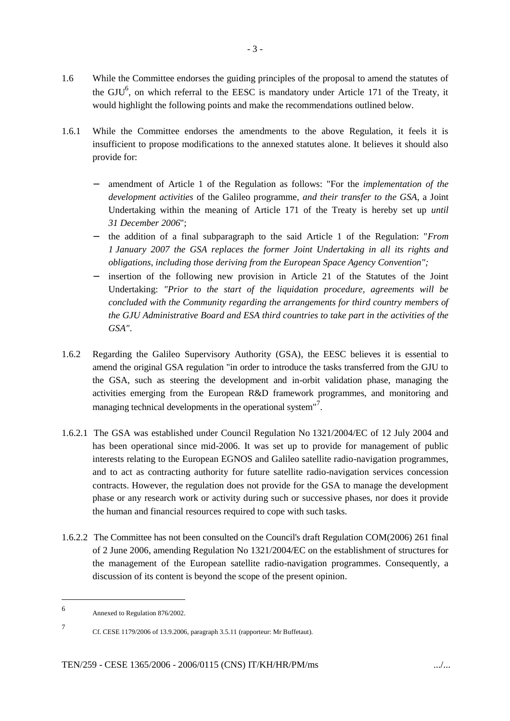- 1.6 While the Committee endorses the guiding principles of the proposal to amend the statutes of the  $GU^6$ , on which referral to the EESC is mandatory under Article 171 of the Treaty, it would highlight the following points and make the recommendations outlined below.
- 1.6.1 While the Committee endorses the amendments to the above Regulation, it feels it is insufficient to propose modifications to the annexed statutes alone. It believes it should also provide for:
	- − amendment of Article 1 of the Regulation as follows: "For the *implementation of the development activities* of the Galileo programme, *and their transfer to the GSA*, a Joint Undertaking within the meaning of Article 171 of the Treaty is hereby set up *until 31 December 2006*";
	- − the addition of a final subparagraph to the said Article 1 of the Regulation: "*From 1 January 2007 the GSA replaces the former Joint Undertaking in all its rights and obligations, including those deriving from the European Space Agency Convention";*
	- − insertion of the following new provision in Article 21 of the Statutes of the Joint Undertaking: *"Prior to the start of the liquidation procedure, agreements will be concluded with the Community regarding the arrangements for third country members of the GJU Administrative Board and ESA third countries to take part in the activities of the GSA"*.
- 1.6.2 Regarding the Galileo Supervisory Authority (GSA), the EESC believes it is essential to amend the original GSA regulation "in order to introduce the tasks transferred from the GJU to the GSA, such as steering the development and in-orbit validation phase, managing the activities emerging from the European R&D framework programmes, and monitoring and managing technical developments in the operational system"<sup>7</sup>.
- 1.6.2.1 The GSA was established under Council Regulation No 1321/2004/EC of 12 July 2004 and has been operational since mid-2006. It was set up to provide for management of public interests relating to the European EGNOS and Galileo satellite radio-navigation programmes, and to act as contracting authority for future satellite radio-navigation services concession contracts. However, the regulation does not provide for the GSA to manage the development phase or any research work or activity during such or successive phases, nor does it provide the human and financial resources required to cope with such tasks.
- 1.6.2.2 The Committee has not been consulted on the Council's draft Regulation COM(2006) 261 final of 2 June 2006, amending Regulation No 1321/2004/EC on the establishment of structures for the management of the European satellite radio-navigation programmes. Consequently, a discussion of its content is beyond the scope of the present opinion.

7

<sup>6</sup> Annexed to Regulation 876/2002.

Cf. CESE 1179/2006 of 13.9.2006, paragraph 3.5.11 (rapporteur: Mr Buffetaut).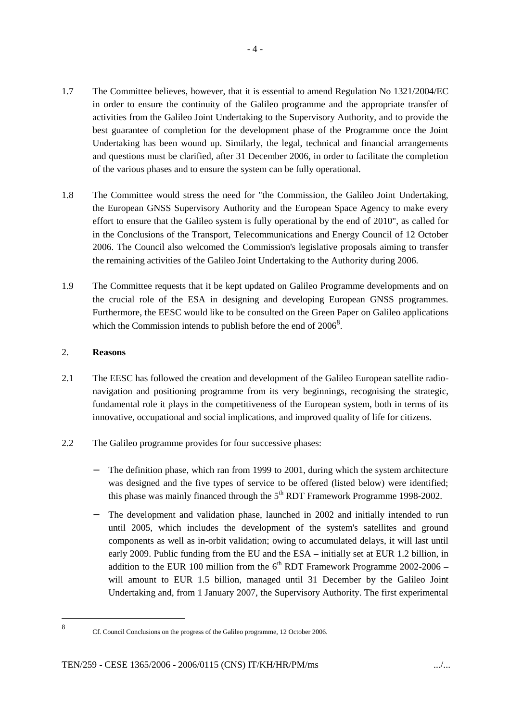- 1.7 The Committee believes, however, that it is essential to amend Regulation No 1321/2004/EC in order to ensure the continuity of the Galileo programme and the appropriate transfer of activities from the Galileo Joint Undertaking to the Supervisory Authority, and to provide the best guarantee of completion for the development phase of the Programme once the Joint Undertaking has been wound up. Similarly, the legal, technical and financial arrangements and questions must be clarified, after 31 December 2006, in order to facilitate the completion of the various phases and to ensure the system can be fully operational.
- 1.8 The Committee would stress the need for "the Commission, the Galileo Joint Undertaking, the European GNSS Supervisory Authority and the European Space Agency to make every effort to ensure that the Galileo system is fully operational by the end of 2010", as called for in the Conclusions of the Transport, Telecommunications and Energy Council of 12 October 2006. The Council also welcomed the Commission's legislative proposals aiming to transfer the remaining activities of the Galileo Joint Undertaking to the Authority during 2006*.*
- 1.9 The Committee requests that it be kept updated on Galileo Programme developments and on the crucial role of the ESA in designing and developing European GNSS programmes. Furthermore, the EESC would like to be consulted on the Green Paper on Galileo applications which the Commission intends to publish before the end of  $2006^8$ .

## 2. **Reasons**

- 2.1 The EESC has followed the creation and development of the Galileo European satellite radionavigation and positioning programme from its very beginnings, recognising the strategic, fundamental role it plays in the competitiveness of the European system, both in terms of its innovative, occupational and social implications, and improved quality of life for citizens.
- 2.2 The Galileo programme provides for four successive phases:
	- The definition phase, which ran from 1999 to 2001, during which the system architecture was designed and the five types of service to be offered (listed below) were identified; this phase was mainly financed through the  $5<sup>th</sup> RDT$  Framework Programme 1998-2002.
	- The development and validation phase, launched in 2002 and initially intended to run until 2005, which includes the development of the system's satellites and ground components as well as in-orbit validation; owing to accumulated delays, it will last until early 2009. Public funding from the EU and the ESA – initially set at EUR 1.2 billion, in addition to the EUR 100 million from the  $6<sup>th</sup>$  RDT Framework Programme 2002-2006 – will amount to EUR 1.5 billion, managed until 31 December by the Galileo Joint Undertaking and, from 1 January 2007, the Supervisory Authority. The first experimental

<sup>8</sup>

Cf. Council Conclusions on the progress of the Galileo programme, 12 October 2006.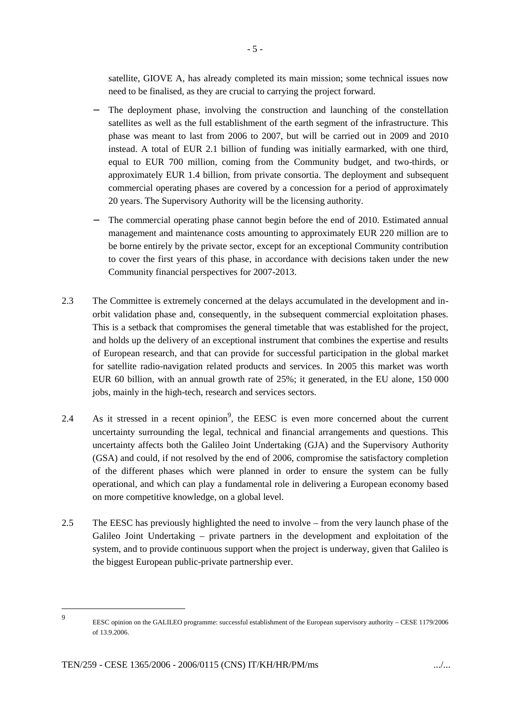satellite, GIOVE A, has already completed its main mission; some technical issues now need to be finalised, as they are crucial to carrying the project forward.

- The deployment phase, involving the construction and launching of the constellation satellites as well as the full establishment of the earth segment of the infrastructure. This phase was meant to last from 2006 to 2007, but will be carried out in 2009 and 2010 instead. A total of EUR 2.1 billion of funding was initially earmarked, with one third, equal to EUR 700 million, coming from the Community budget, and two-thirds, or approximately EUR 1.4 billion, from private consortia. The deployment and subsequent commercial operating phases are covered by a concession for a period of approximately 20 years. The Supervisory Authority will be the licensing authority.
- The commercial operating phase cannot begin before the end of 2010. Estimated annual management and maintenance costs amounting to approximately EUR 220 million are to be borne entirely by the private sector, except for an exceptional Community contribution to cover the first years of this phase, in accordance with decisions taken under the new Community financial perspectives for 2007-2013.
- 2.3 The Committee is extremely concerned at the delays accumulated in the development and inorbit validation phase and, consequently, in the subsequent commercial exploitation phases. This is a setback that compromises the general timetable that was established for the project, and holds up the delivery of an exceptional instrument that combines the expertise and results of European research, and that can provide for successful participation in the global market for satellite radio-navigation related products and services. In 2005 this market was worth EUR 60 billion, with an annual growth rate of 25%; it generated, in the EU alone, 150 000 jobs, mainly in the high-tech, research and services sectors.
- 2.4 As it stressed in a recent opinion<sup>9</sup>, the EESC is even more concerned about the current uncertainty surrounding the legal, technical and financial arrangements and questions. This uncertainty affects both the Galileo Joint Undertaking (GJA) and the Supervisory Authority (GSA) and could, if not resolved by the end of 2006, compromise the satisfactory completion of the different phases which were planned in order to ensure the system can be fully operational, and which can play a fundamental role in delivering a European economy based on more competitive knowledge, on a global level.
- 2.5 The EESC has previously highlighted the need to involve from the very launch phase of the Galileo Joint Undertaking – private partners in the development and exploitation of the system, and to provide continuous support when the project is underway, given that Galileo is the biggest European public-private partnership ever.

<sup>9</sup> EESC opinion on the GALILEO programme: successful establishment of the European supervisory authority – CESE 1179/2006 of 13.9.2006.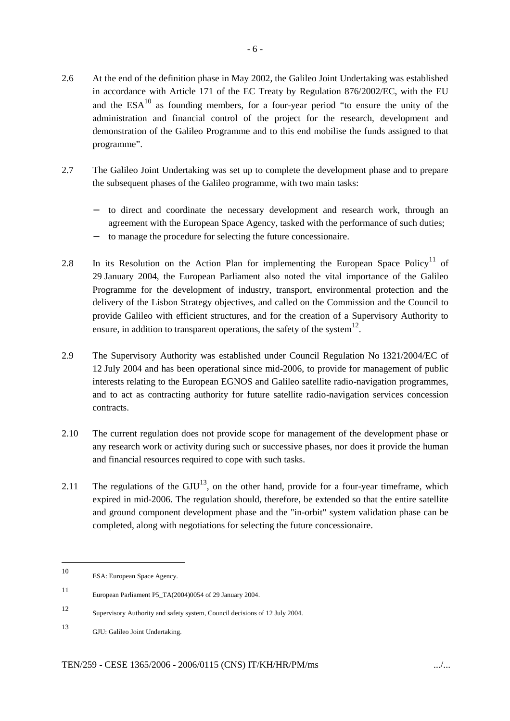- 2.6 At the end of the definition phase in May 2002, the Galileo Joint Undertaking was established in accordance with Article 171 of the EC Treaty by Regulation 876/2002/EC, with the EU and the  $ESA^{10}$  as founding members, for a four-year period "to ensure the unity of the administration and financial control of the project for the research, development and demonstration of the Galileo Programme and to this end mobilise the funds assigned to that programme".
- 2.7 The Galileo Joint Undertaking was set up to complete the development phase and to prepare the subsequent phases of the Galileo programme, with two main tasks:
	- to direct and coordinate the necessary development and research work, through an agreement with the European Space Agency, tasked with the performance of such duties;
	- − to manage the procedure for selecting the future concessionaire.
- 2.8 In its Resolution on the Action Plan for implementing the European Space Policy<sup>11</sup> of 29 January 2004, the European Parliament also noted the vital importance of the Galileo Programme for the development of industry, transport, environmental protection and the delivery of the Lisbon Strategy objectives, and called on the Commission and the Council to provide Galileo with efficient structures, and for the creation of a Supervisory Authority to ensure, in addition to transparent operations, the safety of the system  $12$ .
- 2.9 The Supervisory Authority was established under Council Regulation No 1321/2004/EC of 12 July 2004 and has been operational since mid-2006, to provide for management of public interests relating to the European EGNOS and Galileo satellite radio-navigation programmes, and to act as contracting authority for future satellite radio-navigation services concession contracts.
- 2.10 The current regulation does not provide scope for management of the development phase or any research work or activity during such or successive phases, nor does it provide the human and financial resources required to cope with such tasks.
- 2.11 The regulations of the  $GUU^{13}$ , on the other hand, provide for a four-year timeframe, which expired in mid-2006. The regulation should, therefore, be extended so that the entire satellite and ground component development phase and the "in-orbit" system validation phase can be completed, along with negotiations for selecting the future concessionaire.

<sup>10</sup> ESA: European Space Agency.

<sup>11</sup> European Parliament P5\_TA(2004)0054 of 29 January 2004.

<sup>12</sup> Supervisory Authority and safety system, Council decisions of 12 July 2004.

<sup>13</sup> GJU: Galileo Joint Undertaking.